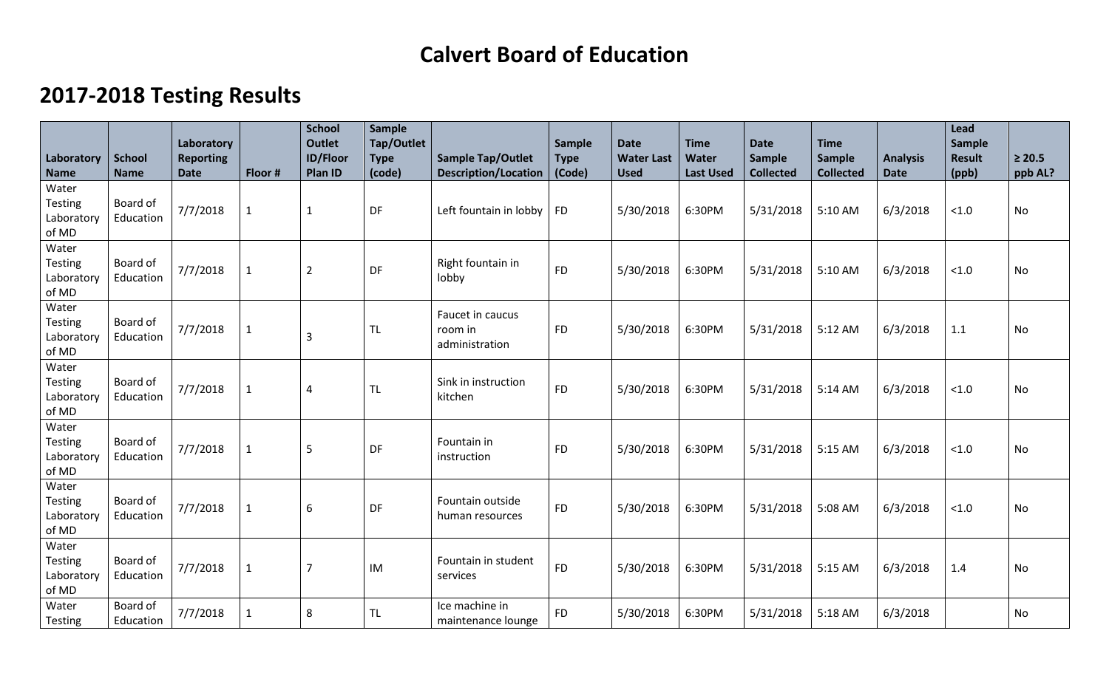## **Calvert Board of Education**

## **2017-2018 Testing Results**

|                                                |                              | Laboratory                      |              | <b>School</b><br><b>Outlet</b> | Sample<br>Tap/Outlet  |                                                         | Sample                | <b>Date</b>                      | <b>Time</b>               | <b>Date</b>                       | <b>Time</b>                       |                                | Lead<br><b>Sample</b>  |                        |
|------------------------------------------------|------------------------------|---------------------------------|--------------|--------------------------------|-----------------------|---------------------------------------------------------|-----------------------|----------------------------------|---------------------------|-----------------------------------|-----------------------------------|--------------------------------|------------------------|------------------------|
| Laboratory<br><b>Name</b>                      | <b>School</b><br><b>Name</b> | <b>Reporting</b><br><b>Date</b> | Floor #      | <b>ID/Floor</b><br>Plan ID     | <b>Type</b><br>(code) | <b>Sample Tap/Outlet</b><br><b>Description/Location</b> | <b>Type</b><br>(Code) | <b>Water Last</b><br><b>Used</b> | Water<br><b>Last Used</b> | <b>Sample</b><br><b>Collected</b> | <b>Sample</b><br><b>Collected</b> | <b>Analysis</b><br><b>Date</b> | <b>Result</b><br>(ppb) | $\geq 20.5$<br>ppb AL? |
| Water                                          |                              |                                 |              |                                |                       |                                                         |                       |                                  |                           |                                   |                                   |                                |                        |                        |
| Testing<br>Laboratory<br>of MD                 | Board of<br>Education        | 7/7/2018                        | $\mathbf{1}$ | $\mathbf{1}$                   | DF                    | Left fountain in lobby                                  | <b>FD</b>             | 5/30/2018                        | 6:30PM                    | 5/31/2018                         | 5:10 AM                           | 6/3/2018                       | < 1.0                  | <b>No</b>              |
| Water<br>Testing<br>Laboratory<br>of MD        | Board of<br>Education        | 7/7/2018                        | $\mathbf{1}$ | $\overline{2}$                 | DF                    | Right fountain in<br>lobby                              | <b>FD</b>             | 5/30/2018                        | 6:30PM                    | 5/31/2018                         | 5:10 AM                           | 6/3/2018                       | $<1.0$                 | No                     |
| Water<br>Testing<br>Laboratory<br>of MD        | Board of<br>Education        | 7/7/2018                        | $\mathbf 1$  | $\overline{3}$                 | <b>TL</b>             | Faucet in caucus<br>room in<br>administration           | <b>FD</b>             | 5/30/2018                        | 6:30PM                    | 5/31/2018                         | 5:12 AM                           | 6/3/2018                       | 1.1                    | No                     |
| Water<br>Testing<br>Laboratory<br>of MD        | Board of<br>Education        | 7/7/2018                        | $\mathbf{1}$ | $\overline{4}$                 | <b>TL</b>             | Sink in instruction<br>kitchen                          | <b>FD</b>             | 5/30/2018                        | 6:30PM                    | 5/31/2018                         | 5:14 AM                           | 6/3/2018                       | < 1.0                  | No                     |
| Water<br>Testing<br>Laboratory<br>of MD        | Board of<br>Education        | 7/7/2018                        | $\mathbf{1}$ | 5                              | DF                    | Fountain in<br>instruction                              | <b>FD</b>             | 5/30/2018                        | 6:30PM                    | 5/31/2018                         | 5:15 AM                           | 6/3/2018                       | $<1.0$                 | No                     |
| Water<br><b>Testing</b><br>Laboratory<br>of MD | Board of<br>Education        | 7/7/2018                        | $\mathbf{1}$ | 6                              | DF                    | Fountain outside<br>human resources                     | <b>FD</b>             | 5/30/2018                        | 6:30PM                    | 5/31/2018                         | 5:08 AM                           | 6/3/2018                       | $<1.0$                 | <b>No</b>              |
| Water<br>Testing<br>Laboratory<br>of MD        | Board of<br>Education        | 7/7/2018                        | $\mathbf{1}$ | $\overline{7}$                 | IM                    | Fountain in student<br>services                         | <b>FD</b>             | 5/30/2018                        | 6:30PM                    | 5/31/2018                         | 5:15 AM                           | 6/3/2018                       | 1.4                    | <b>No</b>              |
| Water<br>Testing                               | <b>Board of</b><br>Education | 7/7/2018                        | $\mathbf{1}$ | 8                              | <b>TL</b>             | Ice machine in<br>maintenance lounge                    | <b>FD</b>             | 5/30/2018                        | 6:30PM                    | 5/31/2018                         | 5:18 AM                           | 6/3/2018                       |                        | No                     |